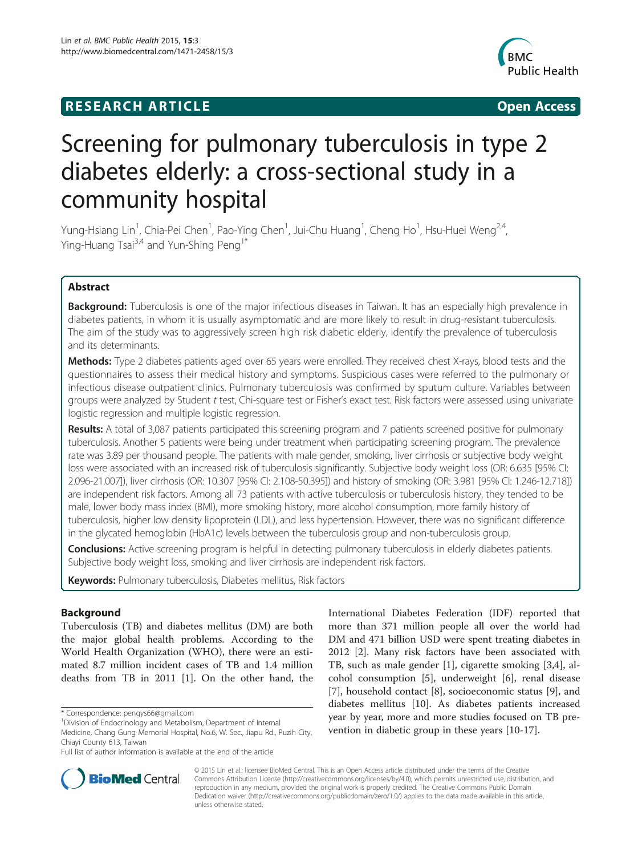# **RESEARCH ARTICLE Example 2014 12:30 The SEAR CHIPS 2014 12:30 The Open Access**



# Screening for pulmonary tuberculosis in type 2 diabetes elderly: a cross-sectional study in a community hospital

Yung-Hsiang Lin<sup>1</sup>, Chia-Pei Chen<sup>1</sup>, Pao-Ying Chen<sup>1</sup>, Jui-Chu Huang<sup>1</sup>, Cheng Ho<sup>1</sup>, Hsu-Huei Weng<sup>2,4</sup>, Ying-Huang Tsai<sup>3,4</sup> and Yun-Shing Peng<sup>1\*</sup>

# Abstract

Background: Tuberculosis is one of the major infectious diseases in Taiwan. It has an especially high prevalence in diabetes patients, in whom it is usually asymptomatic and are more likely to result in drug-resistant tuberculosis. The aim of the study was to aggressively screen high risk diabetic elderly, identify the prevalence of tuberculosis and its determinants.

**Methods:** Type 2 diabetes patients aged over 65 years were enrolled. They received chest X-rays, blood tests and the questionnaires to assess their medical history and symptoms. Suspicious cases were referred to the pulmonary or infectious disease outpatient clinics. Pulmonary tuberculosis was confirmed by sputum culture. Variables between groups were analyzed by Student t test, Chi-square test or Fisher's exact test. Risk factors were assessed using univariate logistic regression and multiple logistic regression.

Results: A total of 3,087 patients participated this screening program and 7 patients screened positive for pulmonary tuberculosis. Another 5 patients were being under treatment when participating screening program. The prevalence rate was 3.89 per thousand people. The patients with male gender, smoking, liver cirrhosis or subjective body weight loss were associated with an increased risk of tuberculosis significantly. Subjective body weight loss (OR: 6.635 [95% CI: 2.096-21.007]), liver cirrhosis (OR: 10.307 [95% CI: 2.108-50.395]) and history of smoking (OR: 3.981 [95% CI: 1.246-12.718]) are independent risk factors. Among all 73 patients with active tuberculosis or tuberculosis history, they tended to be male, lower body mass index (BMI), more smoking history, more alcohol consumption, more family history of tuberculosis, higher low density lipoprotein (LDL), and less hypertension. However, there was no significant difference in the glycated hemoglobin (HbA1c) levels between the tuberculosis group and non-tuberculosis group.

**Conclusions:** Active screening program is helpful in detecting pulmonary tuberculosis in elderly diabetes patients. Subjective body weight loss, smoking and liver cirrhosis are independent risk factors.

Keywords: Pulmonary tuberculosis, Diabetes mellitus, Risk factors

# Background

Tuberculosis (TB) and diabetes mellitus (DM) are both the major global health problems. According to the World Health Organization (WHO), there were an estimated 8.7 million incident cases of TB and 1.4 million deaths from TB in 2011 [[1\]](#page-6-0). On the other hand, the International Diabetes Federation (IDF) reported that more than 371 million people all over the world had DM and 471 billion USD were spent treating diabetes in 2012 [\[2](#page-6-0)]. Many risk factors have been associated with TB, such as male gender [\[1\]](#page-6-0), cigarette smoking [\[3,4](#page-6-0)], alcohol consumption [\[5](#page-6-0)], underweight [[6\]](#page-6-0), renal disease [[7\]](#page-6-0), household contact [[8\]](#page-6-0), socioeconomic status [\[9](#page-6-0)], and diabetes mellitus [\[10](#page-6-0)]. As diabetes patients increased year by year, more and more studies focused on TB prevention in diabetic group in these years [[10](#page-6-0)-[17\]](#page-6-0).



© 2015 Lin et al.; licensee BioMed Central. This is an Open Access article distributed under the terms of the Creative Commons Attribution License [\(http://creativecommons.org/licenses/by/4.0\)](http://creativecommons.org/licenses/by/4.0), which permits unrestricted use, distribution, and reproduction in any medium, provided the original work is properly credited. The Creative Commons Public Domain Dedication waiver [\(http://creativecommons.org/publicdomain/zero/1.0/](http://creativecommons.org/publicdomain/zero/1.0/)) applies to the data made available in this article, unless otherwise stated.

<sup>\*</sup> Correspondence: [pengys66@gmail.com](mailto:pengys66@gmail.com) <sup>1</sup>

Division of Endocrinology and Metabolism, Department of Internal

Medicine, Chang Gung Memorial Hospital, No.6, W. Sec., Jiapu Rd., Puzih City, Chiayi County 613, Taiwan

Full list of author information is available at the end of the article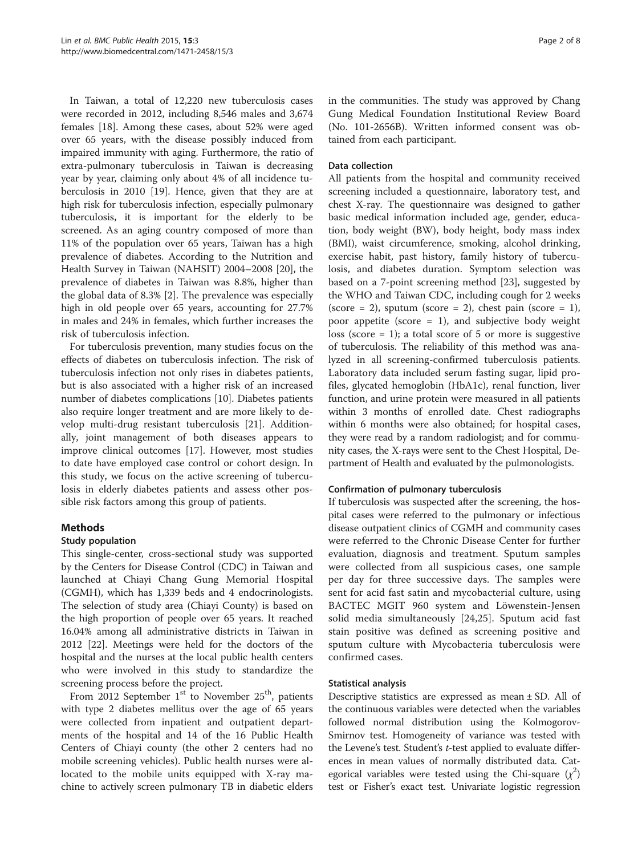In Taiwan, a total of 12,220 new tuberculosis cases were recorded in 2012, including 8,546 males and 3,674 females [[18](#page-6-0)]. Among these cases, about 52% were aged over 65 years, with the disease possibly induced from impaired immunity with aging. Furthermore, the ratio of extra-pulmonary tuberculosis in Taiwan is decreasing year by year, claiming only about 4% of all incidence tuberculosis in 2010 [[19\]](#page-6-0). Hence, given that they are at high risk for tuberculosis infection, especially pulmonary tuberculosis, it is important for the elderly to be screened. As an aging country composed of more than 11% of the population over 65 years, Taiwan has a high prevalence of diabetes. According to the Nutrition and Health Survey in Taiwan (NAHSIT) 2004–2008 [\[20](#page-7-0)], the prevalence of diabetes in Taiwan was 8.8%, higher than the global data of 8.3% [\[2](#page-6-0)]. The prevalence was especially high in old people over 65 years, accounting for 27.7% in males and 24% in females, which further increases the risk of tuberculosis infection.

For tuberculosis prevention, many studies focus on the effects of diabetes on tuberculosis infection. The risk of tuberculosis infection not only rises in diabetes patients, but is also associated with a higher risk of an increased number of diabetes complications [\[10\]](#page-6-0). Diabetes patients also require longer treatment and are more likely to develop multi-drug resistant tuberculosis [\[21](#page-7-0)]. Additionally, joint management of both diseases appears to improve clinical outcomes [\[17](#page-6-0)]. However, most studies to date have employed case control or cohort design. In this study, we focus on the active screening of tuberculosis in elderly diabetes patients and assess other possible risk factors among this group of patients.

# Methods

# Study population

This single-center, cross-sectional study was supported by the Centers for Disease Control (CDC) in Taiwan and launched at Chiayi Chang Gung Memorial Hospital (CGMH), which has 1,339 beds and 4 endocrinologists. The selection of study area (Chiayi County) is based on the high proportion of people over 65 years. It reached 16.04% among all administrative districts in Taiwan in 2012 [[22](#page-7-0)]. Meetings were held for the doctors of the hospital and the nurses at the local public health centers who were involved in this study to standardize the screening process before the project.

From 2012 September  $1<sup>st</sup>$  to November  $25<sup>th</sup>$ , patients with type 2 diabetes mellitus over the age of 65 years were collected from inpatient and outpatient departments of the hospital and 14 of the 16 Public Health Centers of Chiayi county (the other 2 centers had no mobile screening vehicles). Public health nurses were allocated to the mobile units equipped with X-ray machine to actively screen pulmonary TB in diabetic elders in the communities. The study was approved by Chang Gung Medical Foundation Institutional Review Board (No. 101-2656B). Written informed consent was obtained from each participant.

## Data collection

All patients from the hospital and community received screening included a questionnaire, laboratory test, and chest X-ray. The questionnaire was designed to gather basic medical information included age, gender, education, body weight (BW), body height, body mass index (BMI), waist circumference, smoking, alcohol drinking, exercise habit, past history, family history of tuberculosis, and diabetes duration. Symptom selection was based on a 7-point screening method [\[23](#page-7-0)], suggested by the WHO and Taiwan CDC, including cough for 2 weeks (score = 2), sputum (score = 2), chest pain (score = 1), poor appetite (score  $= 1$ ), and subjective body weight loss (score  $= 1$ ); a total score of 5 or more is suggestive of tuberculosis. The reliability of this method was analyzed in all screening-confirmed tuberculosis patients. Laboratory data included serum fasting sugar, lipid profiles, glycated hemoglobin (HbA1c), renal function, liver function, and urine protein were measured in all patients within 3 months of enrolled date. Chest radiographs within 6 months were also obtained; for hospital cases, they were read by a random radiologist; and for community cases, the X-rays were sent to the Chest Hospital, Department of Health and evaluated by the pulmonologists.

# Confirmation of pulmonary tuberculosis

If tuberculosis was suspected after the screening, the hospital cases were referred to the pulmonary or infectious disease outpatient clinics of CGMH and community cases were referred to the Chronic Disease Center for further evaluation, diagnosis and treatment. Sputum samples were collected from all suspicious cases, one sample per day for three successive days. The samples were sent for acid fast satin and mycobacterial culture, using BACTEC MGIT 960 system and Löwenstein-Jensen solid media simultaneously [[24,25](#page-7-0)]. Sputum acid fast stain positive was defined as screening positive and sputum culture with Mycobacteria tuberculosis were confirmed cases.

# Statistical analysis

Descriptive statistics are expressed as mean ± SD. All of the continuous variables were detected when the variables followed normal distribution using the Kolmogorov-Smirnov test. Homogeneity of variance was tested with the Levene's test. Student's t-test applied to evaluate differences in mean values of normally distributed data. Categorical variables were tested using the Chi-square  $(\chi^2)$ test or Fisher's exact test. Univariate logistic regression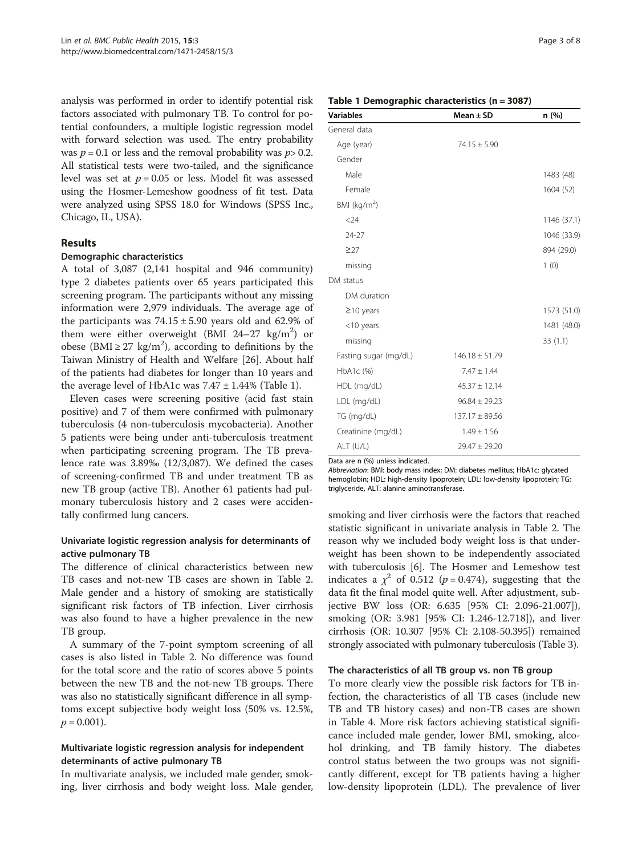analysis was performed in order to identify potential risk factors associated with pulmonary TB. To control for potential confounders, a multiple logistic regression model with forward selection was used. The entry probability was  $p = 0.1$  or less and the removal probability was  $p > 0.2$ . All statistical tests were two-tailed, and the significance level was set at  $p = 0.05$  or less. Model fit was assessed using the Hosmer-Lemeshow goodness of fit test. Data were analyzed using SPSS 18.0 for Windows (SPSS Inc., Chicago, IL, USA).

# Results

#### Demographic characteristics

A total of 3,087 (2,141 hospital and 946 community) type 2 diabetes patients over 65 years participated this screening program. The participants without any missing information were 2,979 individuals. The average age of the participants was  $74.15 \pm 5.90$  years old and 62.9% of them were either overweight (BMI 24-27  $\text{kg/m}^2$ ) or obese (BMI  $\geq$  27 kg/m<sup>2</sup>), according to definitions by the Taiwan Ministry of Health and Welfare [[26](#page-7-0)]. About half of the patients had diabetes for longer than 10 years and the average level of HbA1c was  $7.47 \pm 1.44\%$  (Table 1).

Eleven cases were screening positive (acid fast stain positive) and 7 of them were confirmed with pulmonary tuberculosis (4 non-tuberculosis mycobacteria). Another 5 patients were being under anti-tuberculosis treatment when participating screening program. The TB prevalence rate was 3.89‰ (12/3,087). We defined the cases of screening-confirmed TB and under treatment TB as new TB group (active TB). Another 61 patients had pulmonary tuberculosis history and 2 cases were accidentally confirmed lung cancers.

# Univariate logistic regression analysis for determinants of active pulmonary TB

The difference of clinical characteristics between new TB cases and not-new TB cases are shown in Table [2](#page-3-0). Male gender and a history of smoking are statistically significant risk factors of TB infection. Liver cirrhosis was also found to have a higher prevalence in the new TB group.

A summary of the 7-point symptom screening of all cases is also listed in Table [2.](#page-3-0) No difference was found for the total score and the ratio of scores above 5 points between the new TB and the not-new TB groups. There was also no statistically significant difference in all symptoms except subjective body weight loss (50% vs. 12.5%,  $p = 0.001$ ).

# Multivariate logistic regression analysis for independent determinants of active pulmonary TB

In multivariate analysis, we included male gender, smoking, liver cirrhosis and body weight loss. Male gender,

#### Table 1 Demographic characteristics (n = 3087)

| <b>Variables</b>         | Mean $\pm$ SD      | n (%)       |
|--------------------------|--------------------|-------------|
| General data             |                    |             |
| Age (year)               | $74.15 \pm 5.90$   |             |
| Gender                   |                    |             |
| Male                     |                    | 1483 (48)   |
| Female                   |                    | 1604 (52)   |
| BMI (kg/m <sup>2</sup> ) |                    |             |
| < 24                     |                    | 1146 (37.1) |
| $24 - 27$                |                    | 1046 (33.9) |
| $\geq$ 27                |                    | 894 (29.0)  |
| missing                  |                    | 1(0)        |
| DM status                |                    |             |
| DM duration              |                    |             |
| $\geq$ 10 years          |                    | 1573 (51.0) |
| $<$ 10 years             |                    | 1481 (48.0) |
| missing                  |                    | 33(1.1)     |
| Fasting sugar (mg/dL)    | $146.18 \pm 51.79$ |             |
| HbA1c (%)                | $7.47 \pm 1.44$    |             |
| HDL (mg/dL)              | $45.37 \pm 12.14$  |             |
| LDL (mg/dL)              | $96.84 \pm 29.23$  |             |
| TG (mg/dL)               | $137.17 \pm 89.56$ |             |
| Creatinine (mg/dL)       | $1.49 \pm 1.56$    |             |
| ALT (U/L)                | $29.47 \pm 29.20$  |             |

Data are n (%) unless indicated.

Abbreviation: BMI: body mass index; DM: diabetes mellitus; HbA1c: glycated hemoglobin; HDL: high-density lipoprotein; LDL: low-density lipoprotein; TG: triglyceride, ALT: alanine aminotransferase.

smoking and liver cirrhosis were the factors that reached statistic significant in univariate analysis in Table [2.](#page-3-0) The reason why we included body weight loss is that underweight has been shown to be independently associated with tuberculosis [[6\]](#page-6-0). The Hosmer and Lemeshow test indicates a  $\chi^2$  of 0.512 (p = 0.474), suggesting that the data fit the final model quite well. After adjustment, subjective BW loss (OR: 6.635 [95% CI: 2.096-21.007]), smoking (OR: 3.981 [95% CI: 1.246-12.718]), and liver cirrhosis (OR: 10.307 [95% CI: 2.108-50.395]) remained strongly associated with pulmonary tuberculosis (Table [3\)](#page-4-0).

#### The characteristics of all TB group vs. non TB group

To more clearly view the possible risk factors for TB infection, the characteristics of all TB cases (include new TB and TB history cases) and non-TB cases are shown in Table [4.](#page-5-0) More risk factors achieving statistical significance included male gender, lower BMI, smoking, alcohol drinking, and TB family history. The diabetes control status between the two groups was not significantly different, except for TB patients having a higher low-density lipoprotein (LDL). The prevalence of liver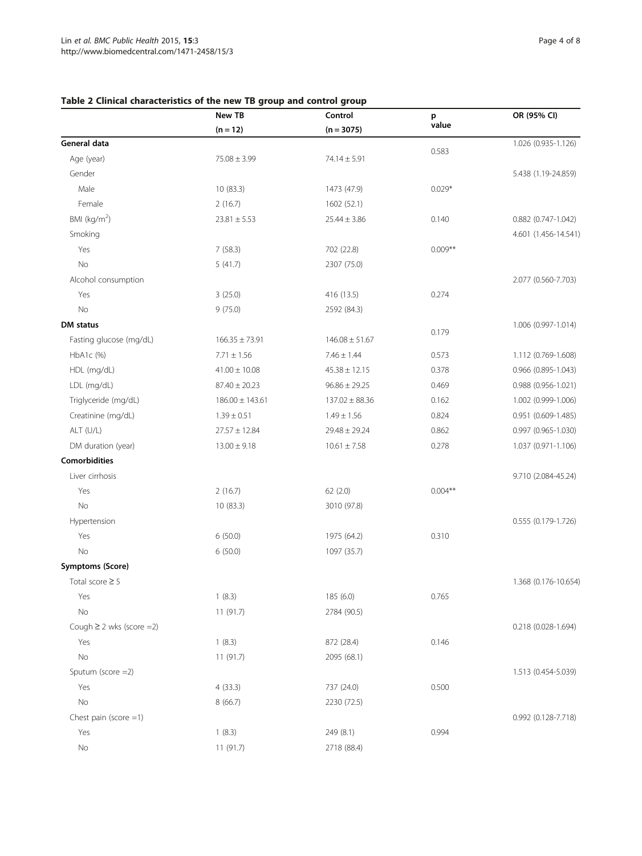# <span id="page-3-0"></span>Table 2 Clinical characteristics of the new TB group and control group

|                               | New TB<br>$(n = 12)$ | Control<br>$(n = 3075)$ | p<br>value | OR (95% CI)           |
|-------------------------------|----------------------|-------------------------|------------|-----------------------|
|                               |                      |                         |            |                       |
| General data                  |                      |                         |            | 1.026 (0.935-1.126)   |
| Age (year)                    | $75.08 \pm 3.99$     | $74.14 \pm 5.91$        | 0.583      |                       |
| Gender                        |                      |                         |            | 5.438 (1.19-24.859)   |
| Male                          | 10(83.3)             | 1473 (47.9)             | $0.029*$   |                       |
| Female                        | 2(16.7)              | 1602 (52.1)             |            |                       |
| BMI ( $kg/m2$ )               | $23.81 \pm 5.53$     | $25.44 \pm 3.86$        | 0.140      | 0.882 (0.747-1.042)   |
| Smoking                       |                      |                         |            | 4.601 (1.456-14.541)  |
| Yes                           | 7(58.3)              | 702 (22.8)              | $0.009**$  |                       |
| No                            | 5(41.7)              | 2307 (75.0)             |            |                       |
| Alcohol consumption           |                      |                         |            | 2.077 (0.560-7.703)   |
| Yes                           | 3(25.0)              | 416 (13.5)              | 0.274      |                       |
| No                            | 9(75.0)              | 2592 (84.3)             |            |                       |
| DM status                     |                      |                         |            | 1.006 (0.997-1.014)   |
| Fasting glucose (mg/dL)       | $166.35 \pm 73.91$   | $146.08 \pm 51.67$      | 0.179      |                       |
| HbA1c (%)                     | $7.71 \pm 1.56$      | $7.46 \pm 1.44$         | 0.573      | 1.112 (0.769-1.608)   |
| HDL (mg/dL)                   | $41.00 \pm 10.08$    | $45.38 \pm 12.15$       | 0.378      | $0.966$ (0.895-1.043) |
| LDL (mg/dL)                   | $87.40 \pm 20.23$    | $96.86 \pm 29.25$       | 0.469      | 0.988 (0.956-1.021)   |
| Triglyceride (mg/dL)          | $186.00 \pm 143.61$  | $137.02 \pm 88.36$      | 0.162      | 1.002 (0.999-1.006)   |
| Creatinine (mg/dL)            | $1.39 \pm 0.51$      | $1.49 \pm 1.56$         | 0.824      | 0.951 (0.609-1.485)   |
| ALT (U/L)                     | $27.57 \pm 12.84$    | $29.48 \pm 29.24$       | 0.862      | 0.997 (0.965-1.030)   |
| DM duration (year)            | $13.00 \pm 9.18$     | $10.61 \pm 7.58$        | 0.278      | 1.037 (0.971-1.106)   |
| <b>Comorbidities</b>          |                      |                         |            |                       |
| Liver cirrhosis               |                      |                         |            | 9.710 (2.084-45.24)   |
| Yes                           | 2(16.7)              | 62(2.0)                 | $0.004***$ |                       |
| No                            | 10 (83.3)            | 3010 (97.8)             |            |                       |
| Hypertension                  |                      |                         |            | 0.555 (0.179-1.726)   |
| Yes                           | 6(50.0)              | 1975 (64.2)             | 0.310      |                       |
| No                            | 6(50.0)              | 1097 (35.7)             |            |                       |
| <b>Symptoms (Score)</b>       |                      |                         |            |                       |
| Total score $\geq$ 5          |                      |                         |            | 1.368 (0.176-10.654)  |
| Yes                           | 1(8.3)               | 185 (6.0)               | 0.765      |                       |
| $\rm No$                      | 11 (91.7)            | 2784 (90.5)             |            |                       |
| Cough $\geq$ 2 wks (score =2) |                      |                         |            | 0.218 (0.028-1.694)   |
| Yes                           | 1(8.3)               | 872 (28.4)              | 0.146      |                       |
| No                            | 11 (91.7)            | 2095 (68.1)             |            |                       |
| Sputum (score =2)             |                      |                         |            | 1.513 (0.454-5.039)   |
| Yes                           | 4(33.3)              | 737 (24.0)              | 0.500      |                       |
| No                            | 8(66.7)              | 2230 (72.5)             |            |                       |
| Chest pain (score $=1$ )      |                      |                         |            | 0.992 (0.128-7.718)   |
| Yes                           | 1(8.3)               | 249 (8.1)               | 0.994      |                       |
| No                            | 11 (91.7)            | 2718 (88.4)             |            |                       |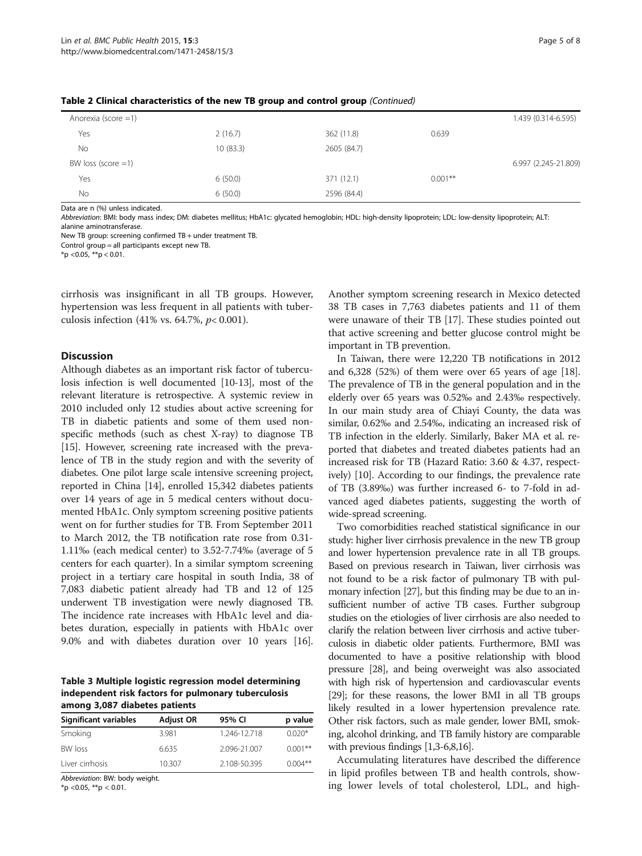| Anorexia (score $=1$ ) |          |             |           | 1.439 (0.314-6.595)  |
|------------------------|----------|-------------|-----------|----------------------|
| Yes                    | 2(16.7)  | 362 (11.8)  | 0.639     |                      |
| <b>No</b>              | 10(83.3) | 2605 (84.7) |           |                      |
| BW loss (score $=1$ )  |          |             |           | 6.997 (2.245-21.809) |
| Yes                    | 6(50.0)  | 371 (12.1)  | $0.001**$ |                      |
| No                     | 6(50.0)  | 2596 (84.4) |           |                      |

<span id="page-4-0"></span>Table 2 Clinical characteristics of the new TB group and control group (Continued)

Data are n (%) unless indicated.

Abbreviation: BMI: body mass index; DM: diabetes mellitus; HbA1c: glycated hemoglobin; HDL: high-density lipoprotein; LDL: low-density lipoprotein; ALT: alanine aminotransferase.

New TB group: screening confirmed TB + under treatment TB.

Control group = all participants except new TB.

 $*$ p < 0.05,  $*$  $*$ p < 0.01.

cirrhosis was insignificant in all TB groups. However, hypertension was less frequent in all patients with tuberculosis infection (41% vs. 64.7%,  $p < 0.001$ ).

### **Discussion**

Although diabetes as an important risk factor of tuberculosis infection is well documented [\[10-13\]](#page-6-0), most of the relevant literature is retrospective. A systemic review in 2010 included only 12 studies about active screening for TB in diabetic patients and some of them used nonspecific methods (such as chest X-ray) to diagnose TB [[15](#page-6-0)]. However, screening rate increased with the prevalence of TB in the study region and with the severity of diabetes. One pilot large scale intensive screening project, reported in China [\[14](#page-6-0)], enrolled 15,342 diabetes patients over 14 years of age in 5 medical centers without documented HbA1c. Only symptom screening positive patients went on for further studies for TB. From September 2011 to March 2012, the TB notification rate rose from 0.31- 1.11‰ (each medical center) to 3.52-7.74‰ (average of 5 centers for each quarter). In a similar symptom screening project in a tertiary care hospital in south India, 38 of 7,083 diabetic patient already had TB and 12 of 125 underwent TB investigation were newly diagnosed TB. The incidence rate increases with HbA1c level and diabetes duration, especially in patients with HbA1c over 9.0% and with diabetes duration over 10 years [[16](#page-6-0)].

Table 3 Multiple logistic regression model determining independent risk factors for pulmonary tuberculosis among 3,087 diabetes patients

| Significant variables | <b>Adjust OR</b> | 95% CI       | p value   |
|-----------------------|------------------|--------------|-----------|
| Smoking               | 3.981            | 1.246-12.718 | $0.020*$  |
| <b>BW</b> loss        | 6.635            | 2.096-21.007 | $0.001**$ |
| Liver cirrhosis       | 10.307           | 2.108-50.395 | $0.004**$ |

Abbreviation: BW: body weight.

\*p < 0.05, \*\*p < 0.01.

Another symptom screening research in Mexico detected 38 TB cases in 7,763 diabetes patients and 11 of them were unaware of their TB [\[17](#page-6-0)]. These studies pointed out that active screening and better glucose control might be important in TB prevention.

In Taiwan, there were 12,220 TB notifications in 2012 and 6,328 (52%) of them were over 65 years of age [[18](#page-6-0)]. The prevalence of TB in the general population and in the elderly over 65 years was 0.52‰ and 2.43‰ respectively. In our main study area of Chiayi County, the data was similar, 0.62‰ and 2.54‰, indicating an increased risk of TB infection in the elderly. Similarly, Baker MA et al. reported that diabetes and treated diabetes patients had an increased risk for TB (Hazard Ratio: 3.60 & 4.37, respectively) [\[10\]](#page-6-0). According to our findings, the prevalence rate of TB (3.89‰) was further increased 6- to 7-fold in advanced aged diabetes patients, suggesting the worth of wide-spread screening.

Two comorbidities reached statistical significance in our study: higher liver cirrhosis prevalence in the new TB group and lower hypertension prevalence rate in all TB groups. Based on previous research in Taiwan, liver cirrhosis was not found to be a risk factor of pulmonary TB with pulmonary infection [\[27\]](#page-7-0), but this finding may be due to an insufficient number of active TB cases. Further subgroup studies on the etiologies of liver cirrhosis are also needed to clarify the relation between liver cirrhosis and active tuberculosis in diabetic older patients. Furthermore, BMI was documented to have a positive relationship with blood pressure [[28](#page-7-0)], and being overweight was also associated with high risk of hypertension and cardiovascular events [[29](#page-7-0)]; for these reasons, the lower BMI in all TB groups likely resulted in a lower hypertension prevalence rate. Other risk factors, such as male gender, lower BMI, smoking, alcohol drinking, and TB family history are comparable with previous findings [\[1,3](#page-6-0)-[6,8,16](#page-6-0)].

Accumulating literatures have described the difference in lipid profiles between TB and health controls, showing lower levels of total cholesterol, LDL, and high-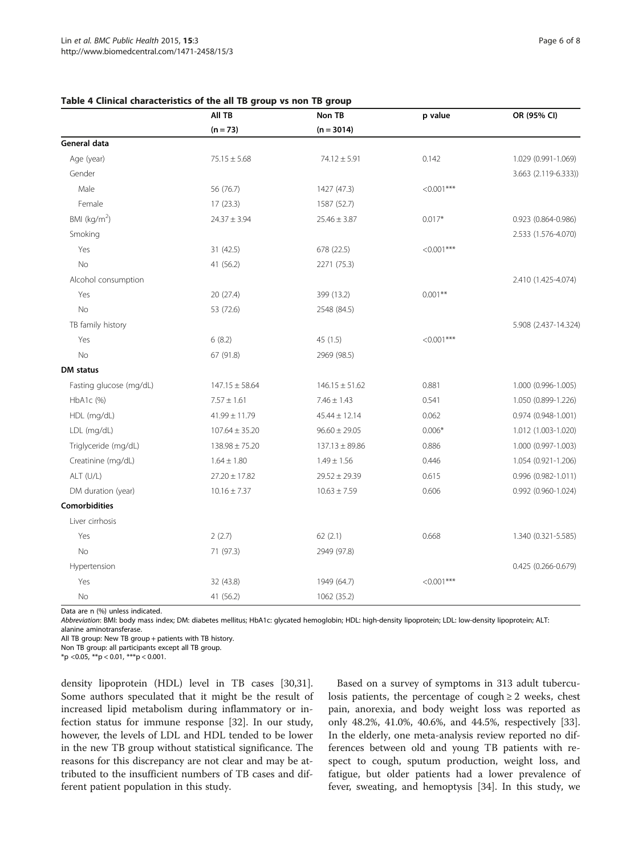<span id="page-5-0"></span>

| Table 4 Clinical characteristics of the all TB group vs non TB group |        |         |             |
|----------------------------------------------------------------------|--------|---------|-------------|
| AII TB                                                               | Non TB | p value | OR (95% CI) |

|                         | AII TB<br>$(n = 73)$ | Non TB<br>$(n = 3014)$ | p value      | OR (95% CI)          |
|-------------------------|----------------------|------------------------|--------------|----------------------|
|                         |                      |                        |              |                      |
| General data            |                      |                        |              |                      |
| Age (year)              | $75.15 \pm 5.68$     | $74.12 \pm 5.91$       | 0.142        | 1.029 (0.991-1.069)  |
| Gender                  |                      |                        |              | 3.663 (2.119-6.333)) |
| Male                    | 56 (76.7)            | 1427 (47.3)            | $< 0.001***$ |                      |
| Female                  | 17(23.3)             | 1587 (52.7)            |              |                      |
| BMI ( $kg/m2$ )         | $24.37 \pm 3.94$     | $25.46 \pm 3.87$       | $0.017*$     | 0.923 (0.864-0.986)  |
| Smoking                 |                      |                        |              | 2.533 (1.576-4.070)  |
| Yes                     | 31 (42.5)            | 678 (22.5)             | $< 0.001***$ |                      |
| No                      | 41 (56.2)            | 2271 (75.3)            |              |                      |
| Alcohol consumption     |                      |                        |              | 2.410 (1.425-4.074)  |
| Yes                     | 20 (27.4)            | 399 (13.2)             | $0.001**$    |                      |
| <b>No</b>               | 53 (72.6)            | 2548 (84.5)            |              |                      |
| TB family history       |                      |                        |              | 5.908 (2.437-14.324) |
| Yes                     | 6(8.2)               | 45(1.5)                | $< 0.001***$ |                      |
| <b>No</b>               | 67 (91.8)            | 2969 (98.5)            |              |                      |
| <b>DM</b> status        |                      |                        |              |                      |
| Fasting glucose (mg/dL) | $147.15 \pm 58.64$   | $146.15 \pm 51.62$     | 0.881        | 1.000 (0.996-1.005)  |
| HbA1c (%)               | $7.57 \pm 1.61$      | $7.46 \pm 1.43$        | 0.541        | 1.050 (0.899-1.226)  |
| HDL (mg/dL)             | $41.99 \pm 11.79$    | $45.44 \pm 12.14$      | 0.062        | 0.974 (0.948-1.001)  |
| LDL (mg/dL)             | $107.64 \pm 35.20$   | $96.60 \pm 29.05$      | $0.006*$     | 1.012 (1.003-1.020)  |
| Triglyceride (mg/dL)    | $138.98 \pm 75.20$   | $137.13 \pm 89.86$     | 0.886        | 1.000 (0.997-1.003)  |
| Creatinine (mg/dL)      | $1.64 \pm 1.80$      | $1.49 \pm 1.56$        | 0.446        | 1.054 (0.921-1.206)  |
| ALT (U/L)               | $27.20 \pm 17.82$    | $29.52 \pm 29.39$      | 0.615        | 0.996 (0.982-1.011)  |
| DM duration (year)      | $10.16 \pm 7.37$     | $10.63 \pm 7.59$       | 0.606        | 0.992 (0.960-1.024)  |
| <b>Comorbidities</b>    |                      |                        |              |                      |
| Liver cirrhosis         |                      |                        |              |                      |
| Yes                     | 2(2.7)               | 62(2.1)                | 0.668        | 1.340 (0.321-5.585)  |
| <b>No</b>               | 71 (97.3)            | 2949 (97.8)            |              |                      |
| Hypertension            |                      |                        |              | 0.425 (0.266-0.679)  |
| Yes                     | 32 (43.8)            | 1949 (64.7)            | $< 0.001***$ |                      |
| No                      | 41 (56.2)            | 1062 (35.2)            |              |                      |

Data are n (%) unless indicated.

Abbreviation: BMI: body mass index; DM: diabetes mellitus; HbA1c: glycated hemoglobin; HDL: high-density lipoprotein; LDL: low-density lipoprotein; ALT: alanine aminotransferase.

All TB group: New TB group + patients with TB history.

Non TB group: all participants except all TB group.

 $*$ p <0.05,  $*$  $*$ p < 0.01,  $**$ p < 0.001.

density lipoprotein (HDL) level in TB cases [\[30,31](#page-7-0)]. Some authors speculated that it might be the result of increased lipid metabolism during inflammatory or infection status for immune response [\[32](#page-7-0)]. In our study, however, the levels of LDL and HDL tended to be lower in the new TB group without statistical significance. The reasons for this discrepancy are not clear and may be attributed to the insufficient numbers of TB cases and different patient population in this study.

Based on a survey of symptoms in 313 adult tuberculosis patients, the percentage of cough  $\geq 2$  weeks, chest pain, anorexia, and body weight loss was reported as only 48.2%, 41.0%, 40.6%, and 44.5%, respectively [\[33](#page-7-0)]. In the elderly, one meta-analysis review reported no differences between old and young TB patients with respect to cough, sputum production, weight loss, and fatigue, but older patients had a lower prevalence of fever, sweating, and hemoptysis [\[34](#page-7-0)]. In this study, we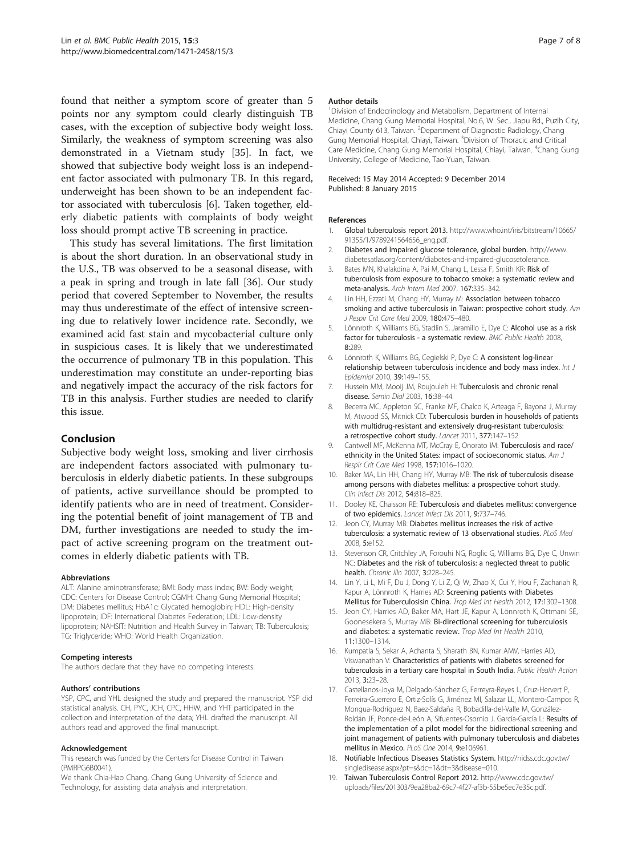<span id="page-6-0"></span>found that neither a symptom score of greater than 5 points nor any symptom could clearly distinguish TB cases, with the exception of subjective body weight loss. Similarly, the weakness of symptom screening was also demonstrated in a Vietnam study [\[35\]](#page-7-0). In fact, we showed that subjective body weight loss is an independent factor associated with pulmonary TB. In this regard, underweight has been shown to be an independent factor associated with tuberculosis [6]. Taken together, elderly diabetic patients with complaints of body weight loss should prompt active TB screening in practice.

This study has several limitations. The first limitation is about the short duration. In an observational study in the U.S., TB was observed to be a seasonal disease, with a peak in spring and trough in late fall [\[36\]](#page-7-0). Our study period that covered September to November, the results may thus underestimate of the effect of intensive screening due to relatively lower incidence rate. Secondly, we examined acid fast stain and mycobacterial culture only in suspicious cases. It is likely that we underestimated the occurrence of pulmonary TB in this population. This underestimation may constitute an under-reporting bias and negatively impact the accuracy of the risk factors for TB in this analysis. Further studies are needed to clarify this issue.

# Conclusion

Subjective body weight loss, smoking and liver cirrhosis are independent factors associated with pulmonary tuberculosis in elderly diabetic patients. In these subgroups of patients, active surveillance should be prompted to identify patients who are in need of treatment. Considering the potential benefit of joint management of TB and DM, further investigations are needed to study the impact of active screening program on the treatment outcomes in elderly diabetic patients with TB.

#### Abbreviations

ALT: Alanine aminotransferase; BMI: Body mass index; BW: Body weight; CDC: Centers for Disease Control; CGMH: Chang Gung Memorial Hospital; DM: Diabetes mellitus; HbA1c: Glycated hemoglobin; HDL: High-density lipoprotein; IDF: International Diabetes Federation; LDL: Low-density lipoprotein; NAHSIT: Nutrition and Health Survey in Taiwan; TB: Tuberculosis; TG: Triglyceride; WHO: World Health Organization.

#### Competing interests

The authors declare that they have no competing interests.

#### Authors' contributions

YSP, CPC, and YHL designed the study and prepared the manuscript. YSP did statistical analysis. CH, PYC, JCH, CPC, HHW, and YHT participated in the collection and interpretation of the data; YHL drafted the manuscript. All authors read and approved the final manuscript.

#### Acknowledgement

This research was funded by the Centers for Disease Control in Taiwan (PMRPG6B0041).

We thank Chia-Hao Chang, Chang Gung University of Science and Technology, for assisting data analysis and interpretation.

#### Author details

<sup>1</sup> Division of Endocrinology and Metabolism, Department of Internal Medicine, Chang Gung Memorial Hospital, No.6, W. Sec., Jiapu Rd., Puzih City, Chiayi County 613, Taiwan. <sup>2</sup> Department of Diagnostic Radiology, Chang Gung Memorial Hospital, Chiayi, Taiwan. <sup>3</sup> Division of Thoracic and Critical Care Medicine, Chang Gung Memorial Hospital, Chiayi, Taiwan. <sup>4</sup>Chang Gung University, College of Medicine, Tao-Yuan, Taiwan.

#### Received: 15 May 2014 Accepted: 9 December 2014 Published: 8 January 2015

#### References

- 1. Global tuberculosis report 2013. [http://www.who.int/iris/bitstream/10665/](http://www.who.int/iris/bitstream/10665/91355/1/9789241564656_eng.pdf) [91355/1/9789241564656\\_eng.pdf.](http://www.who.int/iris/bitstream/10665/91355/1/9789241564656_eng.pdf)
- 2. Diabetes and Impaired glucose tolerance, global burden. [http://www.](http://www.diabetesatlas.org/content/diabetes-and-impaired-glucosetolerance) [diabetesatlas.org/content/diabetes-and-impaired-glucosetolerance.](http://www.diabetesatlas.org/content/diabetes-and-impaired-glucosetolerance)
- 3. Bates MN, Khalakdina A, Pai M, Chang L, Lessa F, Smith KR: Risk of tuberculosis from exposure to tobacco smoke: a systematic review and meta-analysis. Arch Intern Med 2007, 167:335–342.
- 4. Lin HH, Ezzati M, Chang HY, Murray M: Association between tobacco smoking and active tuberculosis in Taiwan: prospective cohort study. Am J Respir Crit Care Med 2009, 180:475–480.
- Lönnroth K, Williams BG, Stadlin S, Jaramillo E, Dye C: Alcohol use as a risk factor for tuberculosis - a systematic review. BMC Public Health 2008, 8:289.
- 6. Lönnroth K, Williams BG, Cegielski P, Dye C: A consistent log-linear relationship between tuberculosis incidence and body mass index. Int J Epidemiol 2010, 39:149–155.
- 7. Hussein MM, Mooij JM, Roujouleh H: Tuberculosis and chronic renal disease. Semin Dial 2003, 16:38–44.
- 8. Becerra MC, Appleton SC, Franke MF, Chalco K, Arteaga F, Bayona J, Murray M, Atwood SS, Mitnick CD: Tuberculosis burden in households of patients with multidrug-resistant and extensively drug-resistant tuberculosis: a retrospective cohort study. Lancet 2011, 377:147–152.
- 9. Cantwell MF, McKenna MT, McCray E, Onorato IM: Tuberculosis and race/ ethnicity in the United States: impact of socioeconomic status. Am J Respir Crit Care Med 1998, 157:1016–1020.
- 10. Baker MA, Lin HH, Chang HY, Murray MB: The risk of tuberculosis disease among persons with diabetes mellitus: a prospective cohort study. Clin Infect Dis 2012, 54:818–825.
- 11. Dooley KE, Chaisson RE: Tuberculosis and diabetes mellitus: convergence of two epidemics. Lancet Infect Dis 2011, 9:737–746.
- 12. Jeon CY, Murray MB: Diabetes mellitus increases the risk of active tuberculosis: a systematic review of 13 observational studies. PLoS Med 2008, 5:e152.
- 13. Stevenson CR, Critchley JA, Forouhi NG, Roglic G, Williams BG, Dye C, Unwin NC: Diabetes and the risk of tuberculosis: a neglected threat to public health. Chronic Illn 2007, 3:228-245.
- 14. Lin Y, Li L, Mi F, Du J, Dong Y, Li Z, Qi W, Zhao X, Cui Y, Hou F, Zachariah R, Kapur A, Lönnroth K, Harries AD: Screening patients with Diabetes Mellitus for Tuberculosisin China. Trop Med Int Health 2012, 17:1302–1308.
- 15. Jeon CY, Harries AD, Baker MA, Hart JE, Kapur A, Lönnroth K, Ottmani SE, Goonesekera S, Murray MB: Bi-directional screening for tuberculosis and diabetes: a systematic review. Trop Med Int Health 2010, 11:1300–1314.
- 16. Kumpatla S, Sekar A, Achanta S, Sharath BN, Kumar AMV, Harries AD, Viswanathan V: Characteristics of patients with diabetes screened for tuberculosis in a tertiary care hospital in South India. Public Health Action 2013, 3:23–28.
- 17. Castellanos-Joya M, Delgado-Sánchez G, Ferreyra-Reyes L, Cruz-Hervert P, Ferreira-Guerrero E, Ortiz-Solís G, Jiménez MI, Salazar LL, Montero-Campos R, Mongua-Rodríguez N, Baez-Saldaña R, Bobadilla-del-Valle M, González-Roldán JF, Ponce-de-León A, Sifuentes-Osornio J, García-García L: Results of the implementation of a pilot model for the bidirectional screening and joint management of patients with pulmonary tuberculosis and diabetes mellitus in Mexico. PLoS One 2014, 9:e106961.
- 18. Notifiable Infectious Diseases Statistics System. [http://nidss.cdc.gov.tw/](http://nidss.cdc.gov.tw/singledisease.aspx?pt=s&dc=1&dt=3&disease=010) [singledisease.aspx?pt=s&dc=1&dt=3&disease=010](http://nidss.cdc.gov.tw/singledisease.aspx?pt=s&dc=1&dt=3&disease=010).
- 19. Taiwan Tuberculosis Control Report 2012. [http://www.cdc.gov.tw/](http://www.cdc.gov.tw/uploads/files/201303/9ea28ba2-69c7-4f27-af3b-55be5ec7e35c.pdf) [uploads/files/201303/9ea28ba2-69c7-4f27-af3b-55be5ec7e35c.pdf.](http://www.cdc.gov.tw/uploads/files/201303/9ea28ba2-69c7-4f27-af3b-55be5ec7e35c.pdf)